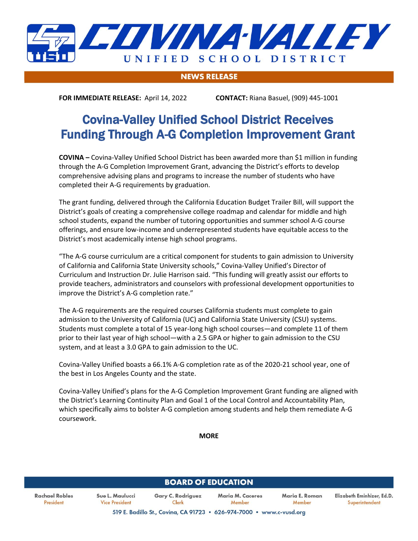

## **NEWS RELEASE**

**FOR IMMEDIATE RELEASE:** April 14, 2022 **CONTACT:** Riana Basuel, (909) 445-1001

## Covina-Valley Unified School District Receives Funding Through A-G Completion Improvement Grant

**COVINA –** Covina-Valley Unified School District has been awarded more than \$1 million in funding through the A-G Completion Improvement Grant, advancing the District's efforts to develop comprehensive advising plans and programs to increase the number of students who have completed their A-G requirements by graduation.

The grant funding, delivered through the California Education Budget Trailer Bill, will support the District's goals of creating a comprehensive college roadmap and calendar for middle and high school students, expand the number of tutoring opportunities and summer school A-G course offerings, and ensure low-income and underrepresented students have equitable access to the District's most academically intense high school programs.

"The A-G course curriculum are a critical component for students to gain admission to University of California and California State University schools," Covina-Valley Unified's Director of Curriculum and Instruction Dr. Julie Harrison said. "This funding will greatly assist our efforts to provide teachers, administrators and counselors with professional development opportunities to improve the District's A-G completion rate."

The A-G requirements are the required courses California students must complete to gain admission to the University of California (UC) and California State University (CSU) systems. Students must complete a total of 15 year-long high school courses—and complete 11 of them prior to their last year of high school—with a 2.5 GPA or higher to gain admission to the CSU system, and at least a 3.0 GPA to gain admission to the UC.

Covina-Valley Unified boasts a 66.1% A-G completion rate as of the 2020-21 school year, one of the best in Los Angeles County and the state.

Covina-Valley Unified's plans for the A-G Completion Improvement Grant funding are aligned with the District's Learning Continuity Plan and Goal 1 of the Local Control and Accountability Plan, which specifically aims to bolster A-G completion among students and help them remediate A-G coursework.

**MORE**

| <b>BOARD OF EDUCATION</b>   |                                          |                                                                      |                            |                          |                                              |
|-----------------------------|------------------------------------------|----------------------------------------------------------------------|----------------------------|--------------------------|----------------------------------------------|
| Rachael Robles<br>President | Sue L. Maulucci<br><b>Vice President</b> | <b>Gary C. Rodriguez</b><br>Clerk                                    | Maria M. Caceres<br>Member | Maria E. Roman<br>Member | Elizabeth Eminhizer, Ed.D.<br>Superintendent |
|                             |                                          | 519 E. Badillo St., Covina, CA 91723 . 626-974-7000 . www.c-vusd.org |                            |                          |                                              |